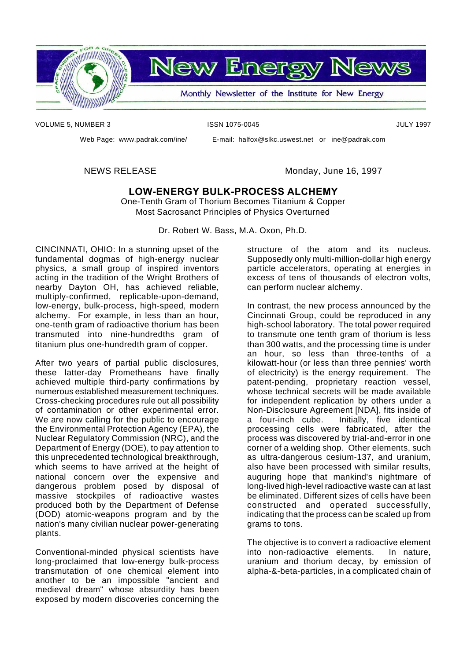

**New Energy News** 

Monthly Newsletter of the Institute for New Energy

VOLUME 5, NUMBER 3 ISSN 1075-0045 ISSN 1075-0045

Web Page: www.padrak.com/ine/ E-mail: halfox@slkc.uswest.net or ine@padrak.com

NEWS RELEASE Monday, June 16, 1997

#### **LOW-ENERGY BULK-PROCESS ALCHEMY**

One-Tenth Gram of Thorium Becomes Titanium & Copper Most Sacrosanct Principles of Physics Overturned

Dr. Robert W. Bass, M.A. Oxon, Ph.D.

CINCINNATI, OHIO: In a stunning upset of the fundamental dogmas of high-energy nuclear physics, a small group of inspired inventors acting in the tradition of the Wright Brothers of nearby Dayton OH, has achieved reliable, multiply-confirmed, replicable-upon-demand, low-energy, bulk-process, high-speed, modern alchemy. For example, in less than an hour, one-tenth gram of radioactive thorium has been transmuted into nine-hundredths gram of titanium plus one-hundredth gram of copper.

After two years of partial public disclosures, these latter-day Prometheans have finally achieved multiple third-party confirmations by numerous established measurement techniques. Cross-checking procedures rule out all possibility of contamination or other experimental error. We are now calling for the public to encourage the Environmental Protection Agency (EPA), the Nuclear Regulatory Commission (NRC), and the Department of Energy (DOE), to pay attention to this unprecedented technological breakthrough, which seems to have arrived at the height of national concern over the expensive and dangerous problem posed by disposal of massive stockpiles of radioactive wastes produced both by the Department of Defense (DOD) atomic-weapons program and by the nation's many civilian nuclear power-generating plants.

Conventional-minded physical scientists have long-proclaimed that low-energy bulk-process transmutation of one chemical element into another to be an impossible "ancient and medieval dream" whose absurdity has been exposed by modern discoveries concerning the

structure of the atom and its nucleus. Supposedly only multi-million-dollar high energy particle accelerators, operating at energies in excess of tens of thousands of electron volts, can perform nuclear alchemy.

In contrast, the new process announced by the Cincinnati Group, could be reproduced in any high-school laboratory. The total power required to transmute one tenth gram of thorium is less than 300 watts, and the processing time is under an hour, so less than three-tenths of a kilowatt-hour (or less than three pennies' worth of electricity) is the energy requirement. The patent-pending, proprietary reaction vessel, whose technical secrets will be made available for independent replication by others under a Non-Disclosure Agreement [NDA], fits inside of a four-inch cube. Initially, five identical processing cells were fabricated, after the process was discovered by trial-and-error in one corner of a welding shop. Other elements, such as ultra-dangerous cesium-137, and uranium, also have been processed with similar results, auguring hope that mankind's nightmare of long-lived high-level radioactive waste can at last be eliminated. Different sizes of cells have been constructed and operated successfully, indicating that the process can be scaled up from grams to tons.

The objective is to convert a radioactive element into non-radioactive elements. In nature, uranium and thorium decay, by emission of alpha-&-beta-particles, in a complicated chain of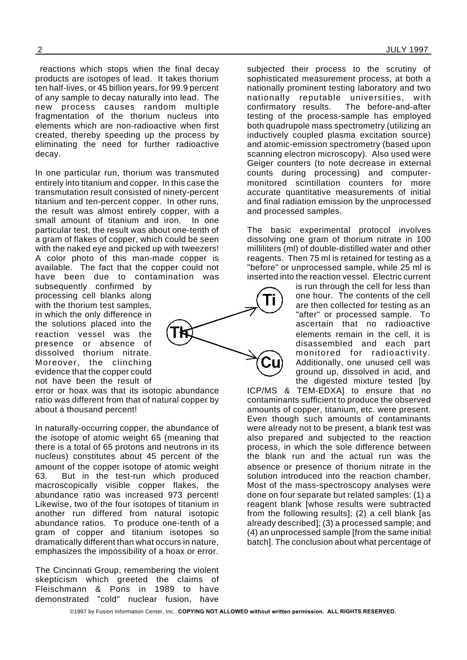reactions which stops when the final decay products are isotopes of lead. It takes thorium ten half-lives, or 45 billion years, for 99.9 percent of any sample to decay naturally into lead. The new process causes random multiple fragmentation of the thorium nucleus into elements which are non-radioactive when first created, thereby speeding up the process by eliminating the need for further radioactive decay.

In one particular run, thorium was transmuted entirely into titanium and copper. In this case the transmutation result consisted of ninety-percent titanium and ten-percent copper. In other runs, the result was almost entirely copper, with a small amount of titanium and iron. In one particular test, the result was about one-tenth of a gram of flakes of copper, which could be seen with the naked eye and picked up with tweezers! A color photo of this man-made copper is available. The fact that the copper could not have been due to contamination was

subsequently confirmed by processing cell blanks along with the thorium test samples, in which the only difference in the solutions placed into the reaction vessel was the presence or absence of dissolved thorium nitrate. Moreover, the clinching evidence that the copper could not have been the result of

error or hoax was that its isotopic abundance ratio was different from that of natural copper by about a thousand percent!

In naturally-occurring copper, the abundance of the isotope of atomic weight 65 (meaning that there is a total of 65 protons and neutrons in its nucleus) constitutes about 45 percent of the amount of the copper isotope of atomic weight 63. But in the test-run which produced macroscopically visible copper flakes, the abundance ratio was increased 973 percent! Likewise, two of the four isotopes of titanium in another run differed from natural isotopic abundance ratios. To produce one-tenth of a gram of copper and titanium isotopes so dramatically different than what occurs in nature, emphasizes the impossibility of a hoax or error.

The Cincinnati Group, remembering the violent skepticism which greeted the claims of Fleischmann & Pons in 1989 to have demonstrated "cold" nuclear fusion, have

subjected their process to the scrutiny of sophisticated measurement process, at both a nationally prominent testing laboratory and two nationally reputable universities, with confirmatory results. The before-and-after testing of the process-sample has employed both quadrupole mass spectrometry (utilizing an inductively coupled plasma excitation source) and atomic-emission spectrometry (based upon scanning electron microscopy). Also used were Geiger counters (to note decrease in external counts during processing) and computermonitored scintillation counters for more accurate quantitative measurements of initial and final radiation emission by the unprocessed and processed samples.

The basic experimental protocol involves dissolving one gram of thorium nitrate in 100 milliliters (ml) of double-distilled water and other reagents. Then 75 ml is retained for testing as a "before" or unprocessed sample, while 25 ml is inserted into the reaction vessel. Electric current

is run through the cell for less than one hour. The contents of the cell are then collected for testing as an "after" or processed sample. To ascertain that no radioactive elements remain in the cell, it is disassembled and each part monitored for radioactivity. Additionally, one unused cell was ground up, dissolved in acid, and the digested mixture tested [by

ICP/MS & TEM-EDXA] to ensure that no contaminants sufficient to produce the observed amounts of copper, titanium, etc. were present. Even though such amounts of contaminants were already not to be present, a blank test was also prepared and subjected to the reaction process, in which the sole difference between the blank run and the actual run was the absence or presence of thorium nitrate in the solution introduced into the reaction chamber. Most of the mass-spectroscopy analyses were done on four separate but related samples: (1) a reagent blank [whose results were subtracted from the following results]; (2) a cell blank [as already described]; (3) a processed sample; and (4) an unprocessed sample [from the same initial batch]. The conclusion about what percentage of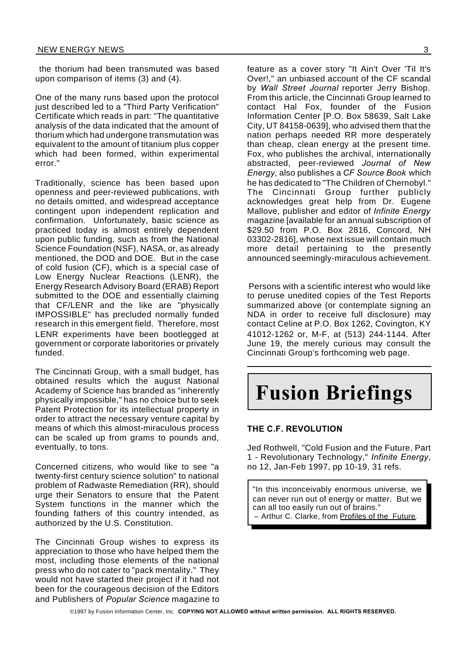the thorium had been transmuted was based upon comparison of items (3) and (4).

One of the many runs based upon the protocol just described led to a "Third Party Verification" Certificate which reads in part: "The quantitative analysis of the data indicated that the amount of thorium which had undergone transmutation was equivalent to the amount of titanium plus copper which had been formed, within experimental error."

Traditionally, science has been based upon openness and peer-reviewed publications, with no details omitted, and widespread acceptance contingent upon independent replication and confirmation. Unfortunately, basic science as practiced today is almost entirely dependent upon public funding, such as from the National Science Foundation (NSF), NASA, or, as already mentioned, the DOD and DOE. But in the case of cold fusion (CF), which is a special case of Low Energy Nuclear Reactions (LENR), the Energy Research Advisory Board (ERAB) Report submitted to the DOE and essentially claiming that CF/LENR and the like are "physically IMPOSSIBLE" has precluded normally funded research in this emergent field. Therefore, most LENR experiments have been bootlegged at government or corporate laboritories or privately funded.

The Cincinnati Group, with a small budget, has obtained results which the august National Academy of Science has branded as "inherently physically impossible," has no choice but to seek Patent Protection for its intellectual property in order to attract the necessary venture capital by means of which this almost-miraculous process can be scaled up from grams to pounds and, eventually, to tons.

Concerned citizens, who would like to see "a twenty-first century science solution" to national problem of Radwaste Remediation (RR), should urge their Senators to ensure that the Patent System functions in the manner which the founding fathers of this country intended, as authorized by the U.S. Constitution.

The Cincinnati Group wishes to express its appreciation to those who have helped them the most, including those elements of the national press who do not cater to "pack mentality." They would not have started their project if it had not been for the courageous decision of the Editors and Publishers of *Popular Science* magazine to

feature as a cover story "It Ain't Over 'Til It's Over!," an unbiased account of the CF scandal by *Wall Street Journal* reporter Jerry Bishop. From this article, the Cincinnati Group learned to contact Hal Fox, founder of the Fusion Information Center [P.O. Box 58639, Salt Lake City, UT 84158-0639], who advised them that the nation perhaps needed RR more desperately than cheap, clean energy at the present time. Fox, who publishes the archival, internationally abstracted, peer-reviewed *Journal of New Energy*, also publishes a *CF Source Book* which he has dedicated to "The Children of Chernobyl." The Cincinnati Group further publicly acknowledges great help from Dr. Eugene Mallove, publisher and editor of *Infinite Energy* magazine [available for an annual subscription of \$29.50 from P.O. Box 2816, Concord, NH 03302-2816], whose next issue will contain much more detail pertaining to the presently announced seemingly-miraculous achievement.

Persons with a scientific interest who would like to peruse unedited copies of the Test Reports summarized above (or contemplate signing an NDA in order to receive full disclosure) may contact Celine at P.O. Box 1262, Covington, KY 41012-1262 or, M-F, at (513) 244-1144. After June 19, the merely curious may consult the Cincinnati Group's forthcoming web page.

# **Fusion Briefings**

#### **THE C.F. REVOLUTION**

Jed Rothwell, "Cold Fusion and the Future, Part 1 - Revolutionary Technology," *Infinite Energy*, no 12, Jan-Feb 1997, pp 10-19, 31 refs.

"In this inconceivably enormous universe, we can never run out of energy or matter. But we can all too easily run out of brains." – Arthur C. Clarke, from Profiles of the Future.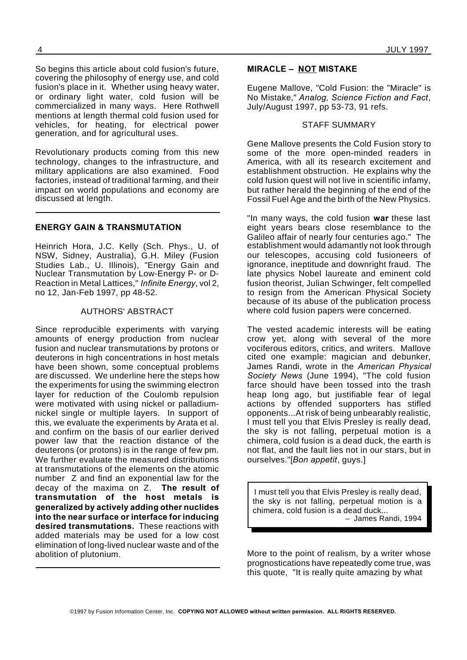So begins this article about cold fusion's future, covering the philosophy of energy use, and cold fusion's place in it. Whether using heavy water, or ordinary light water, cold fusion will be commercialized in many ways. Here Rothwell mentions at length thermal cold fusion used for vehicles, for heating, for electrical power generation, and for agricultural uses.

Revolutionary products coming from this new technology, changes to the infrastructure, and military applications are also examined. Food factories, instead of traditional farming, and their impact on world populations and economy are discussed at length.

#### **ENERGY GAIN & TRANSMUTATION**

Heinrich Hora, J.C. Kelly (Sch. Phys., U. of NSW, Sidney, Australia), G.H. Miley (Fusion Studies Lab., U. Illinois), "Energy Gain and Nuclear Transmutation by Low-Energy P- or D-Reaction in Metal Lattices," *Infinite Energy*, vol 2, no 12, Jan-Feb 1997, pp 48-52.

#### AUTHORS' ABSTRACT

Since reproducible experiments with varying amounts of energy production from nuclear fusion and nuclear transmutations by protons or deuterons in high concentrations in host metals have been shown, some conceptual problems are discussed. We underline here the steps how the experiments for using the swimming electron layer for reduction of the Coulomb repulsion were motivated with using nickel or palladiumnickel single or multiple layers. In support of this, we evaluate the experiments by Arata et al. and confirm on the basis of our earlier derived power law that the reaction distance of the deuterons (or protons) is in the range of few pm. We further evaluate the measured distributions at transmutations of the elements on the atomic number Z and find an exponential law for the decay of the maxima on Z. **The result of transmutation of the host metals is generalized by actively adding other nuclides into the near surface or interface for inducing desired transmutations.** These reactions with added materials may be used for a low cost elimination of long-lived nuclear waste and of the abolition of plutonium.

#### **MIRACLE – NOT MISTAKE**

Eugene Mallove, "Cold Fusion: the "Miracle" is No Mistake," *Analog, Science Fiction and Fact*, July/August 1997, pp 53-73, 91 refs.

#### STAFF SUMMARY

Gene Mallove presents the Cold Fusion story to some of the more open-minded readers in America, with all its research excitement and establishment obstruction. He explains why the cold fusion quest will not live in scientific infamy, but rather herald the beginning of the end of the Fossil Fuel Age and the birth of the New Physics.

"In many ways, the cold fusion **war** these last eight years bears close resemblance to the Galileo affair of nearly four centuries ago." The establishment would adamantly not look through our telescopes, accusing cold fusioneers of ignorance, ineptitude and downright fraud. The late physics Nobel laureate and eminent cold fusion theorist, Julian Schwinger, felt compelled to resign from the American Physical Society because of its abuse of the publication process where cold fusion papers were concerned.

The vested academic interests will be eating crow yet, along with several of the more vociferous editors, critics, and writers. Mallove cited one example: magician and debunker, James Randi, wrote in the *American Physical Society News* (June 1994), "The cold fusion farce should have been tossed into the trash heap long ago, but justifiable fear of legal actions by offended supporters has stifled opponents...At risk of being unbearably realistic, I must tell you that Elvis Presley is really dead, the sky is not falling, perpetual motion is a chimera, cold fusion is a dead duck, the earth is not flat, and the fault lies not in our stars, but in ourselves."[*Bon appetit*, guys.]

I must tell you that Elvis Presley is really dead, the sky is not falling, perpetual motion is a chimera, cold fusion is a dead duck... – James Randi, 1994

More to the point of realism, by a writer whose prognostications have repeatedly come true, was this quote, "It is really quite amazing by what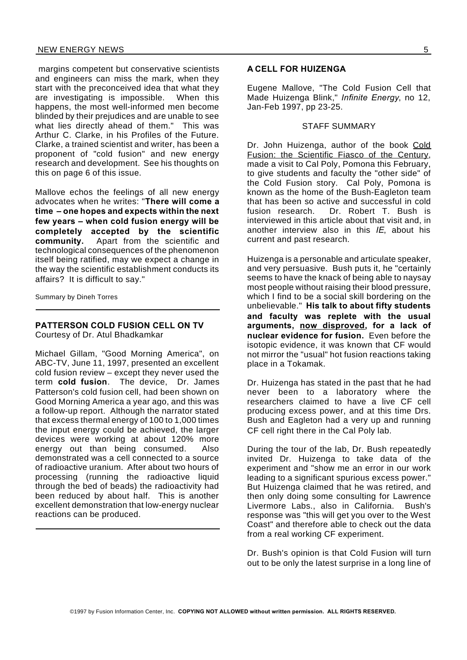margins competent but conservative scientists and engineers can miss the mark, when they start with the preconceived idea that what they are investigating is impossible. When this happens, the most well-informed men become blinded by their prejudices and are unable to see what lies directly ahead of them." This was Arthur C. Clarke, in his Profiles of the Future. Clarke, a trained scientist and writer, has been a proponent of "cold fusion" and new energy research and development. See his thoughts on this on page 6 of this issue.

Mallove echos the feelings of all new energy advocates when he writes: "**There will come a time – one hopes and expects within the next few years – when cold fusion energy will be completely accepted by the scientific community.** Apart from the scientific and technological consequences of the phenomenon itself being ratified, may we expect a change in the way the scientific establishment conducts its affairs? It is difficult to say."

Summary by Dineh Torres

#### **PATTERSON COLD FUSION CELL ON TV**

Courtesy of Dr. Atul Bhadkamkar

Michael Gillam, "Good Morning America", on ABC-TV, June 11, 1997, presented an excellent cold fusion review – except they never used the term **cold fusion**. The device, Dr. James Patterson's cold fusion cell, had been shown on Good Morning America a year ago, and this was a follow-up report. Although the narrator stated that excess thermal energy of 100 to 1,000 times the input energy could be achieved, the larger devices were working at about 120% more energy out than being consumed. Also demonstrated was a cell connected to a source of radioactive uranium. After about two hours of processing (running the radioactive liquid through the bed of beads) the radioactivity had been reduced by about half. This is another excellent demonstration that low-energy nuclear reactions can be produced.

#### **A CELL FOR HUIZENGA**

Eugene Mallove, "The Cold Fusion Cell that Made Huizenga Blink," *Infinite Energy*, no 12, Jan-Feb 1997, pp 23-25.

#### STAFF SUMMARY

Dr. John Huizenga, author of the book Cold Fusion: the Scientific Fiasco of the Century, made a visit to Cal Poly, Pomona this February, to give students and faculty the "other side" of the Cold Fusion story. Cal Poly, Pomona is known as the home of the Bush-Eagleton team that has been so active and successful in cold fusion research. Dr. Robert T. Bush is interviewed in this article about that visit and, in another interview also in this *IE*, about his current and past research.

Huizenga is a personable and articulate speaker, and very persuasive. Bush puts it, he "certainly seems to have the knack of being able to naysay most people without raising their blood pressure, which I find to be a social skill bordering on the unbelievable." **His talk to about fifty students and faculty was replete with the usual arguments, now disproved, for a lack of nuclear evidence for fusion.** Even before the isotopic evidence, it was known that CF would not mirror the "usual" hot fusion reactions taking place in a Tokamak.

Dr. Huizenga has stated in the past that he had never been to a laboratory where the researchers claimed to have a live CF cell producing excess power, and at this time Drs. Bush and Eagleton had a very up and running CF cell right there in the Cal Poly lab.

During the tour of the lab, Dr. Bush repeatedly invited Dr. Huizenga to take data of the experiment and "show me an error in our work leading to a significant spurious excess power." But Huizenga claimed that he was retired, and then only doing some consulting for Lawrence Livermore Labs., also in California. Bush's response was "this will get you over to the West Coast" and therefore able to check out the data from a real working CF experiment.

Dr. Bush's opinion is that Cold Fusion will turn out to be only the latest surprise in a long line of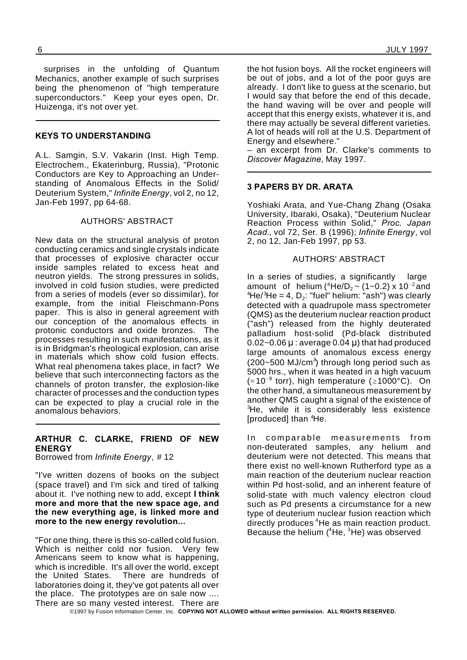surprises in the unfolding of Quantum Mechanics, another example of such surprises being the phenomenon of "high temperature superconductors." Keep your eyes open, Dr. Huizenga, it's not over yet.

#### **KEYS TO UNDERSTANDING**

A.L. Samgin, S.V. Vakarin (Inst. High Temp. Electrochem., Ekaterinburg, Russia), "Protonic Conductors are Key to Approaching an Understanding of Anomalous Effects in the Solid/ Deuterium System," *Infinite Energy*, vol 2, no 12, Jan-Feb 1997, pp 64-68.

#### AUTHORS' ABSTRACT

New data on the structural analysis of proton conducting ceramics and single crystals indicate that processes of explosive character occur inside samples related to excess heat and neutron yields. The strong pressures in solids, involved in cold fusion studies, were predicted from a series of models (ever so dissimilar), for example, from the initial Fleischmann-Pons paper. This is also in general agreement with our conception of the anomalous effects in protonic conductors and oxide bronzes. The processes resulting in such manifestations, as it is in Bridgman's rheological explosion, can arise in materials which show cold fusion effects. What real phenomena takes place, in fact? We believe that such interconnecting factors as the channels of proton transfer, the explosion-like character of processes and the conduction types can be expected to play a crucial role in the anomalous behaviors.

#### **ARTHUR C. CLARKE, FRIEND OF NEW ENERGY**

Borrowed from *Infinite Energy*, # 12

"I've written dozens of books on the subject (space travel) and I'm sick and tired of talking about it. I've nothing new to add, except **I think more and more that the new space age, and the new everything age, is linked more and more to the new energy revolution...**

"For one thing, there is this so-called cold fusion. Which is neither cold nor fusion. Very few Americans seem to know what is happening, which is incredible. It's all over the world, except<br>the United States. There are hundreds of There are hundreds of laboratories doing it, they've got patents all over the place. The prototypes are on sale now .... There are so many vested interest. There are

the hot fusion boys. All the rocket engineers will be out of jobs, and a lot of the poor guys are already. I don't like to guess at the scenario, but I would say that before the end of this decade, the hand waving will be over and people will accept that this energy exists, whatever it is, and there may actually be several different varieties. A lot of heads will roll at the U.S. Department of Energy and elsewhere."

– an excerpt from Dr. Clarke's comments to *Discover Magazine*, May 1997.

#### **3 PAPERS BY DR. ARATA**

Yoshiaki Arata, and Yue-Chang Zhang (Osaka University, Ibaraki, Osaka), "Deuterium Nuclear Reaction Process within Solid," *Proc. Japan Acad.,* vol 72, Ser. B (1996); *Infinite Energy*, vol 2, no 12, Jan-Feb 1997, pp 53.

#### AUTHORS' ABSTRACT

In a series of studies, a significantly large amount of helium ( $^4$ He/D<sub>2</sub> ~ (1~0.2) x 10<sup>-2</sup> and  $4$ He/ $3$ He = 4, D $_2$ : "fuel" helium: "ash") was clearly detected with a quadrupole mass spectrometer (QMS) as the deuterium nuclear reaction product ("ash") released from the highly deuterated palladium host-solid (Pd-black distributed  $0.02 - 0.06$   $\mu$  : average 0.04  $\mu$ ) that had produced large amounts of anomalous excess energy (200~500 MJ/cm<sup>3</sup>) through long period such as 5000 hrs., when it was heated in a high vacuum ( $\approx$ 10<sup>-8</sup> torr), high temperature ( $\geq$ 1000°C). On the other hand, a simultaneous measurement by another QMS caught a signal of the existence of <sup>3</sup>He, while it is considerably less existence [produced] than <sup>4</sup>He.

In comparable measurements from non-deuterated samples, any helium and deuterium were not detected. This means that there exist no well-known Rutherford type as a main reaction of the deuterium nuclear reaction within Pd host-solid, and an inherent feature of solid-state with much valency electron cloud such as Pd presents a circumstance for a new type of deuterium nuclear fusion reaction which directly produces <sup>4</sup>He as main reaction product. Because the helium  $(^{4}$ He,  $^{3}$ He) was observed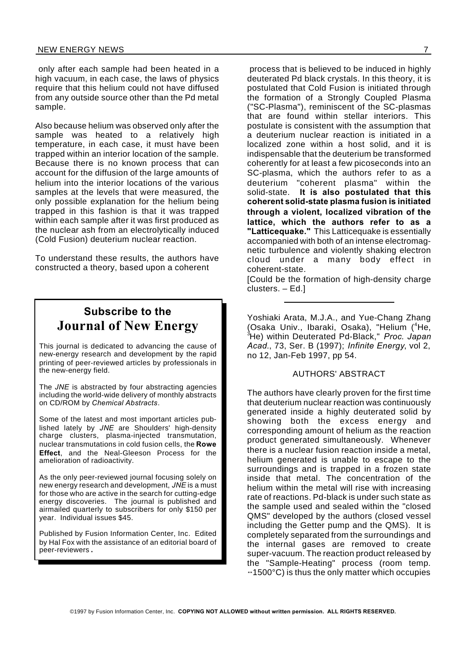only after each sample had been heated in a high vacuum, in each case, the laws of physics require that this helium could not have diffused from any outside source other than the Pd metal sample.

Also because helium was observed only after the sample was heated to a relatively high temperature, in each case, it must have been trapped within an interior location of the sample. Because there is no known process that can account for the diffusion of the large amounts of helium into the interior locations of the various samples at the levels that were measured, the only possible explanation for the helium being trapped in this fashion is that it was trapped within each sample after it was first produced as the nuclear ash from an electrolytically induced (Cold Fusion) deuterium nuclear reaction.

To understand these results, the authors have constructed a theory, based upon a coherent

### **Subscribe to the Journal of New Energy**

This journal is dedicated to advancing the cause of new-energy research and development by the rapid printing of peer-reviewed articles by professionals in the new-energy field.

The *JNE* is abstracted by four abstracting agencies including the world-wide delivery of monthly abstracts on CD/ROM by *Chemical Abstracts*.

Some of the latest and most important articles published lately by *JNE* are Shoulders' high-density charge clusters, plasma-injected transmutation, nuclear transmutations in cold fusion cells, the **Rowe Effect**, and the Neal-Gleeson Process for the amelioration of radioactivity.

As the only peer-reviewed journal focusing solely on new energy research and development, *JNE* is a must for those who are active in the search for cutting-edge energy discoveries. The journal is published and airmailed quarterly to subscribers for only \$150 per year. Individual issues \$45.

Published by Fusion Information Center, Inc. Edited by Hal Fox with the assistance of an editorial board of peer-reviewers.

process that is believed to be induced in highly deuterated Pd black crystals. In this theory, it is postulated that Cold Fusion is initiated through the formation of a Strongly Coupled Plasma ("SC-Plasma"), reminiscent of the SC-plasmas that are found within stellar interiors. This postulate is consistent with the assumption that a deuterium nuclear reaction is initiated in a localized zone within a host solid, and it is indispensable that the deuterium be transformed coherently for at least a few picoseconds into an SC-plasma, which the authors refer to as a deuterium "coherent plasma" within the solid-state. **It is also postulated that this coherent solid-state plasma fusion is initiated through a violent, localized vibration of the lattice, which the authors refer to as a "Latticequake."** This Latticequake is essentially accompanied with both of an intense electromagnetic turbulence and violently shaking electron cloud under a many body effect in coherent-state.

[Could be the formation of high-density charge clusters. – Ed.]

Yoshiaki Arata, M.J.A., and Yue-Chang Zhang (Osaka Univ., Ibaraki, Osaka), "Helium ( <sup>4</sup>He, <sup>3</sup>He) within Deuterated Pd-Black," *Proc. Japan Acad.*, 73, Ser. B (1997); *Infinite Energy*, vol 2, no 12, Jan-Feb 1997, pp 54.

#### AUTHORS' ABSTRACT

The authors have clearly proven for the first time that deuterium nuclear reaction was continuously generated inside a highly deuterated solid by showing both the excess energy and corresponding amount of helium as the reaction product generated simultaneously. Whenever there is a nuclear fusion reaction inside a metal, helium generated is unable to escape to the surroundings and is trapped in a frozen state inside that metal. The concentration of the helium within the metal will rise with increasing rate of reactions. Pd-black is under such state as the sample used and sealed within the "closed QMS" developed by the authors (closed vessel including the Getter pump and the QMS). It is completely separated from the surroundings and the internal gases are removed to create super-vacuum. The reaction product released by the "Sample-Heating" process (room temp.  $\div$ 1500°C) is thus the only matter which occupies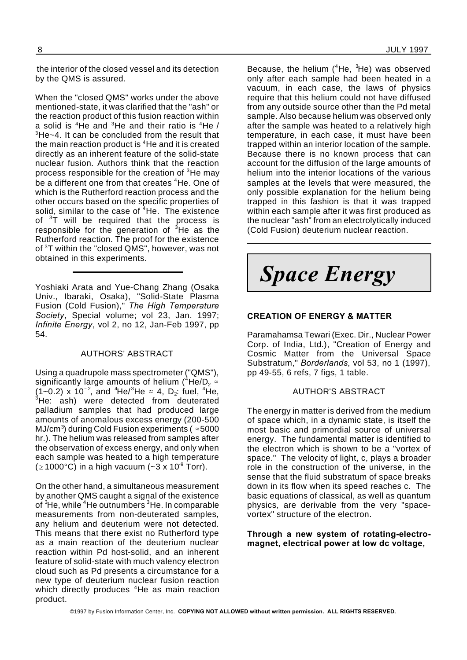the interior of the closed vessel and its detection by the QMS is assured.

When the "closed QMS" works under the above mentioned-state, it was clarified that the "ash" or the reaction product of this fusion reaction within a solid is  ${}^{4}$ He and  ${}^{3}$ He and their ratio is  ${}^{4}$ He / <sup>3</sup>He~4. It can be concluded from the result that the main reaction product is <sup>4</sup>He and it is created directly as an inherent feature of the solid-state nuclear fusion. Authors think that the reaction process responsible for the creation of <sup>3</sup>He may be a different one from that creates <sup>4</sup>He. One of which is the Rutherford reaction process and the other occurs based on the specific properties of solid, similar to the case of <sup>4</sup>He. The existence of <sup>3</sup>T will be required that the process is responsible for the generation of  $3H$ e as the Rutherford reaction. The proof for the existence of <sup>3</sup>T within the "closed QMS", however, was not obtained in this experiments.

Yoshiaki Arata and Yue-Chang Zhang (Osaka Univ., Ibaraki, Osaka), "Solid-State Plasma Fusion (Cold Fusion)," *The High Temperature Society*, Special volume; vol 23, Jan. 1997; *Infinite Energy*, vol 2, no 12, Jan-Feb 1997, pp 54.

#### AUTHORS' ABSTRACT

Using a quadrupole mass spectrometer ("QMS"), significantly large amounts of helium ( $4$ He/D<sub>2</sub> $\approx$  $(1 - 0.2)$  x  $10^{-2}$ , and <sup>4</sup>He/<sup>3</sup>He  $\approx$  4, D<sub>2</sub> fuel, <sup>4</sup>He,  $3$ He: ash) were detected from deuterated palladium samples that had produced large amounts of anomalous excess energy (200-500 MJ/cm<sup>3</sup>) during Cold Fusion experiments ( $\approx$  5000 hr.). The helium was released from samples after the observation of excess energy, and only when each sample was heated to a high temperature  $(21000^{\circ} \text{C})$  in a high vacuum (~3 x 10<sup>-9</sup> Torr).

On the other hand, a simultaneous measurement by another QMS caught a signal of the existence of  ${}^{3}$ He, while  ${}^{4}$ He outnumbers  ${}^{3}$ He. In comparable measurements from non-deuterated samples, any helium and deuterium were not detected. This means that there exist no Rutherford type as a main reaction of the deuterium nuclear reaction within Pd host-solid, and an inherent feature of solid-state with much valency electron cloud such as Pd presents a circumstance for a new type of deuterium nuclear fusion reaction which directly produces <sup>4</sup>He as main reaction product.

Because, the helium (<sup>4</sup>He, <sup>3</sup>He) was observed only after each sample had been heated in a vacuum, in each case, the laws of physics require that this helium could not have diffused from any outside source other than the Pd metal sample. Also because helium was observed only after the sample was heated to a relatively high temperature, in each case, it must have been trapped within an interior location of the sample. Because there is no known process that can account for the diffusion of the large amounts of helium into the interior locations of the various samples at the levels that were measured, the only possible explanation for the helium being trapped in this fashion is that it was trapped within each sample after it was first produced as the nuclear "ash" from an electrolytically induced (Cold Fusion) deuterium nuclear reaction.

*Space Energy*

#### **CREATION OF ENERGY & MATTER**

Paramahamsa Tewari (Exec. Dir., Nuclear Power Corp. of India, Ltd.), "Creation of Energy and Cosmic Matter from the Universal Space Substratum," *Borderlands*, vol 53, no 1 (1997), pp 49-55, 6 refs, 7 figs, 1 table.

#### AUTHOR'S ABSTRACT

The energy in matter is derived from the medium of space which, in a dynamic state, is itself the most basic and primordial source of universal energy. The fundamental matter is identified to the electron which is shown to be a "vortex of space." The velocity of light, c, plays a broader role in the construction of the universe, in the sense that the fluid substratum of space breaks down in its flow when its speed reaches c. The basic equations of classical, as well as quantum physics, are derivable from the very "spacevortex" structure of the electron.

**Through a new system of rotating-electromagnet, electrical power at low dc voltage,**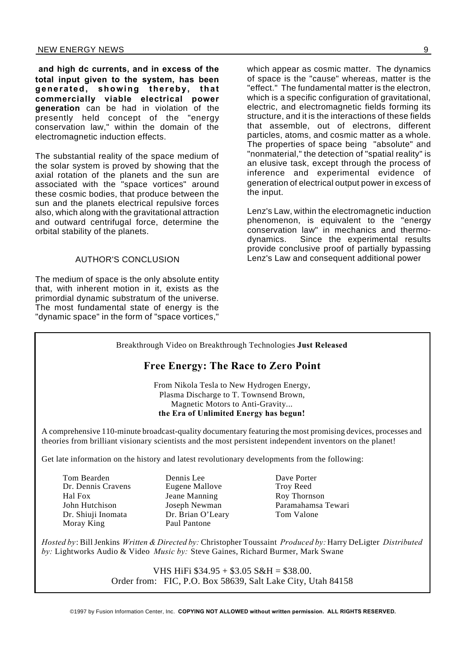**and high dc currents, and in excess of the total input given to the system, has been** generated, showing thereby, that **commercially viable electrical power generation** can be had in violation of the presently held concept of the "energy conservation law," within the domain of the electromagnetic induction effects.

The substantial reality of the space medium of the solar system is proved by showing that the axial rotation of the planets and the sun are associated with the "space vortices" around these cosmic bodies, that produce between the sun and the planets electrical repulsive forces also, which along with the gravitational attraction and outward centrifugal force, determine the orbital stability of the planets.

#### AUTHOR'S CONCLUSION

The medium of space is the only absolute entity that, with inherent motion in it, exists as the primordial dynamic substratum of the universe. The most fundamental state of energy is the "dynamic space" in the form of "space vortices,"

which appear as cosmic matter. The dynamics of space is the "cause" whereas, matter is the "effect." The fundamental matter is the electron, which is a specific configuration of gravitational, electric, and electromagnetic fields forming its structure, and it is the interactions of these fields that assemble, out of electrons, different particles, atoms, and cosmic matter as a whole. The properties of space being "absolute" and "nonmaterial," the detection of "spatial reality" is an elusive task, except through the process of inference and experimental evidence of generation of electrical output power in excess of the input.

Lenz's Law, within the electromagnetic induction phenomenon, is equivalent to the "energy conservation law" in mechanics and thermodynamics. Since the experimental results provide conclusive proof of partially bypassing Lenz's Law and consequent additional power

Breakthrough Video on Breakthrough Technologies **Just Released**

#### **Free Energy: The Race to Zero Point**

From Nikola Tesla to New Hydrogen Energy, Plasma Discharge to T. Townsend Brown, Magnetic Motors to Anti-Gravity... **the Era of Unlimited Energy has begun!**

A comprehensive 110-minute broadcast-quality documentary featuring the most promising devices, processes and theories from brilliant visionary scientists and the most persistent independent inventors on the planet!

Get late information on the history and latest revolutionary developments from the following:

- Tom Bearden Dennis Lee Dave Porter<br>
Dr. Dennis Cravens Eugene Mallove Trov Reed Hal Fox Jeane Manning Roy Thornson Dr. Shiuji Inomata Dr. Brian O'Leary Tom Valone Moray King Paul Pantone
	- Eugene Mallove

John Hutchison Joseph Newman Paramahamsa Tewari

*Hosted by*: Bill Jenkins *Written & Directed by:* Christopher Toussaint *Produced by:* Harry DeLigter *Distributed by:* Lightworks Audio & Video *Music by:* Steve Gaines, Richard Burmer, Mark Swane

> VHS HiFi \$34.95 + \$3.05 S&H = \$38.00. Order from: FIC, P.O. Box 58639, Salt Lake City, Utah 84158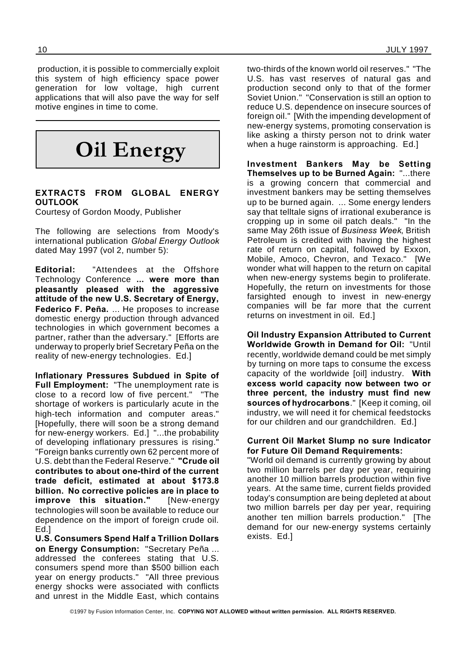production, it is possible to commercially exploit this system of high efficiency space power generation for low voltage, high current applications that will also pave the way for self motive engines in time to come.



#### **EXTRACTS FROM GLOBAL ENERGY OUTLOOK**

Courtesy of Gordon Moody, Publisher

The following are selections from Moody's international publication *Global Energy Outlook* dated May 1997 (vol 2, number 5):

**Editorial:** "Attendees at the Offshore Technology Conference **... were more than pleasantly pleased with the aggressive attitude of the new U.S. Secretary of Energy, Federico F. Peña.** ... He proposes to increase domestic energy production through advanced technologies in which government becomes a partner, rather than the adversary." [Efforts are underway to properly brief Secretary Peña on the reality of new-energy technologies. Ed.]

**Inflationary Pressures Subdued in Spite of Full Employment:** "The unemployment rate is close to a record low of five percent." "The shortage of workers is particularly acute in the high-tech information and computer areas." [Hopefully, there will soon be a strong demand for new-energy workers. Ed.] "...the probability of developing inflationary pressures is rising." "Foreign banks currently own 62 percent more of U.S. debt than the Federal Reserve." **"Crude oil contributes to about one-third of the current trade deficit, estimated at about \$173.8 billion. No corrective policies are in place to improve this situation."** [New-energy technologies will soon be available to reduce our dependence on the import of foreign crude oil. Ed.]

**U.S. Consumers Spend Half a Trillion Dollars on Energy Consumption:** "Secretary Peña ... addressed the conferees stating that U.S. consumers spend more than \$500 billion each year on energy products." "All three previous energy shocks were associated with conflicts and unrest in the Middle East, which contains

two-thirds of the known world oil reserves." "The U.S. has vast reserves of natural gas and production second only to that of the former Soviet Union." "Conservation is still an option to reduce U.S. dependence on insecure sources of foreign oil." [With the impending development of new-energy systems, promoting conservation is like asking a thirsty person not to drink water when a huge rainstorm is approaching. Ed.]

**Investment Bankers May be Setting Themselves up to be Burned Again:** "...there is a growing concern that commercial and investment bankers may be setting themselves up to be burned again. ... Some energy lenders say that telltale signs of irrational exuberance is cropping up in some oil patch deals." "In the same May 26th issue of *Business Week*, British Petroleum is credited with having the highest rate of return on capital, followed by Exxon, Mobile, Amoco, Chevron, and Texaco." [We wonder what will happen to the return on capital when new-energy systems begin to proliferate. Hopefully, the return on investments for those farsighted enough to invest in new-energy companies will be far more that the current returns on investment in oil. Ed.]

**Oil Industry Expansion Attributed to Current Worldwide Growth in Demand for Oil:** "Until recently, worldwide demand could be met simply by turning on more taps to consume the excess capacity of the worldwide [oil] industry. **With excess world capacity now between two or three percent, the industry must find new sources of hydrocarbons**." [Keep it coming, oil industry, we will need it for chemical feedstocks for our children and our grandchildren. Ed.]

#### **Current Oil Market Slump no sure Indicator for Future Oil Demand Requirements:**

"World oil demand is currently growing by about two million barrels per day per year, requiring another 10 million barrels production within five years. At the same time, current fields provided today's consumption are being depleted at about two million barrels per day per year, requiring another ten million barrels production." [The demand for our new-energy systems certainly exists. Ed.]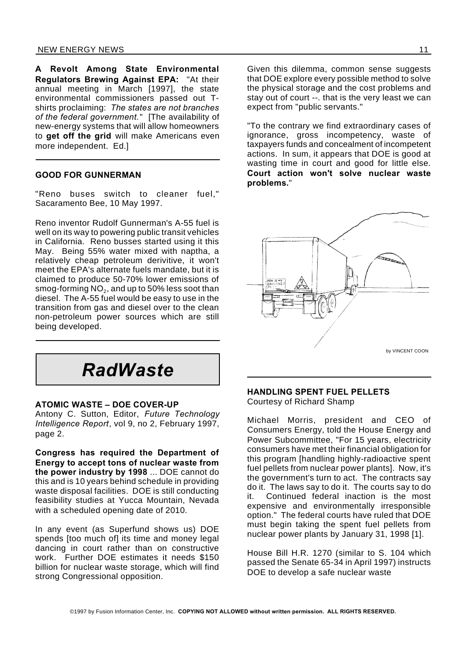**A Revolt Among State Environmental Regulators Brewing Against EPA:** "At their annual meeting in March [1997], the state environmental commissioners passed out Tshirts proclaiming: *The states are not branches of the federal government.*" [The availability of new-energy systems that will allow homeowners to **get off the grid** will make Americans even more independent. Ed.]

#### **GOOD FOR GUNNERMAN**

"Reno buses switch to cleaner fuel," Sacaramento Bee, 10 May 1997.

Reno inventor Rudolf Gunnerman's A-55 fuel is well on its way to powering public transit vehicles in California. Reno busses started using it this May. Being 55% water mixed with naptha, a relatively cheap petroleum derivitive, it won't meet the EPA's alternate fuels mandate, but it is claimed to produce 50-70% lower emissions of smog-forming NO $_{\rm 2}$ , and up to 50% less soot than diesel. The A-55 fuel would be easy to use in the transition from gas and diesel over to the clean non-petroleum power sources which are still being developed.



#### **ATOMIC WASTE – DOE COVER-UP**

Antony C. Sutton, Editor, *Future Technology Intelligence Report*, vol 9, no 2, February 1997, page 2.

**Congress has required the Department of Energy to accept tons of nuclear waste from the power industry by 1998** ... DOE cannot do this and is 10 years behind schedule in providing waste disposal facilities. DOE is still conducting feasibility studies at Yucca Mountain, Nevada with a scheduled opening date of 2010.

In any event (as Superfund shows us) DOE spends [too much of] its time and money legal dancing in court rather than on constructive work. Further DOE estimates it needs \$150 billion for nuclear waste storage, which will find strong Congressional opposition.

Given this dilemma, common sense suggests that DOE explore every possible method to solve the physical storage and the cost problems and stay out of court --. that is the very least we can expect from "public servants."

"To the contrary we find extraordinary cases of ignorance, gross incompetency, waste of taxpayers funds and concealment of incompetent actions. In sum, it appears that DOE is good at wasting time in court and good for little else. **Court action won't solve nuclear waste problems.**"



#### **HANDLING SPENT FUEL PELLETS** Courtesy of Richard Shamp

Michael Morris, president and CEO of Consumers Energy, told the House Energy and Power Subcommittee, "For 15 years, electricity consumers have met their financial obligation for this program [handling highly-radioactive spent fuel pellets from nuclear power plants]. Now, it's the government's turn to act. The contracts say do it. The laws say to do it. The courts say to do it. Continued federal inaction is the most expensive and environmentally irresponsible option." The federal courts have ruled that DOE must begin taking the spent fuel pellets from nuclear power plants by January 31, 1998 [1].

House Bill H.R. 1270 (similar to S. 104 which passed the Senate 65-34 in April 1997) instructs DOE to develop a safe nuclear waste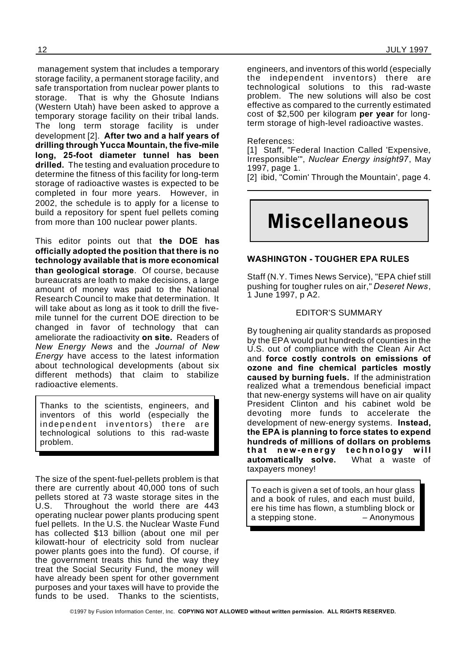management system that includes a temporary storage facility, a permanent storage facility, and safe transportation from nuclear power plants to storage. That is why the Ghosute Indians (Western Utah) have been asked to approve a temporary storage facility on their tribal lands. The long term storage facility is under development [2]. **After two and a half years of drilling through Yucca Mountain, the five-mile long, 25-foot diameter tunnel has been drilled.** The testing and evaluation procedure to determine the fitness of this facility for long-term storage of radioactive wastes is expected to be completed in four more years. However, in 2002, the schedule is to apply for a license to build a repository for spent fuel pellets coming from more than 100 nuclear power plants.

This editor points out that **the DOE has officially adopted the position that there is no technology available that is more economical than geological storage**. Of course, because bureaucrats are loath to make decisions, a large amount of money was paid to the National Research Council to make that determination. It will take about as long as it took to drill the fivemile tunnel for the current DOE direction to be changed in favor of technology that can ameliorate the radioactivity **on site.** Readers of *New Energy News* and the *Journal of New Energy* have access to the latest information about technological developments (about six different methods) that claim to stabilize radioactive elements.

Thanks to the scientists, engineers, and inventors of this world (especially the independent inventors) there are technological solutions to this rad-waste problem.

The size of the spent-fuel-pellets problem is that there are currently about 40,000 tons of such pellets stored at 73 waste storage sites in the U.S. Throughout the world there are 443 operating nuclear power plants producing spent fuel pellets. In the U.S. the Nuclear Waste Fund has collected \$13 billion (about one mil per kilowatt-hour of electricity sold from nuclear power plants goes into the fund). Of course, if the government treats this fund the way they treat the Social Security Fund, the money will have already been spent for other government purposes and your taxes will have to provide the funds to be used. Thanks to the scientists,

engineers, and inventors of this world (especially the independent inventors) there are technological solutions to this rad-waste problem. The new solutions will also be cost effective as compared to the currently estimated cost of \$2,500 per kilogram **per year** for longterm storage of high-level radioactive wastes.

References:

[1] Staff, "Federal Inaction Called 'Expensive, Irresponsible'", *Nuclear Energy insight97*, May 1997, page 1.

[2] ibid, "Comin' Through the Mountain', page 4.

## **Miscellaneous**

#### **WASHINGTON - TOUGHER EPA RULES**

Staff (N.Y. Times News Service), "EPA chief still pushing for tougher rules on air," *Deseret News*, 1 June 1997, p A2.

#### EDITOR'S SUMMARY

By toughening air quality standards as proposed by the EPA would put hundreds of counties in the U.S. out of compliance with the Clean Air Act and **force costly controls on emissions of ozone and fine chemical particles mostly caused by burning fuels.** If the administration realized what a tremendous beneficial impact that new-energy systems will have on air quality President Clinton and his cabinet wold be devoting more funds to accelerate the development of new-energy systems. **Instead, the EPA is planning to force states to expend hundreds of millions of dollars on problems** that new-energy technology will **automatically solve.** What a waste of taxpayers money!

To each is given a set of tools, an hour glass and a book of rules, and each must build, ere his time has flown, a stumbling block or a stepping stone. – Anonymous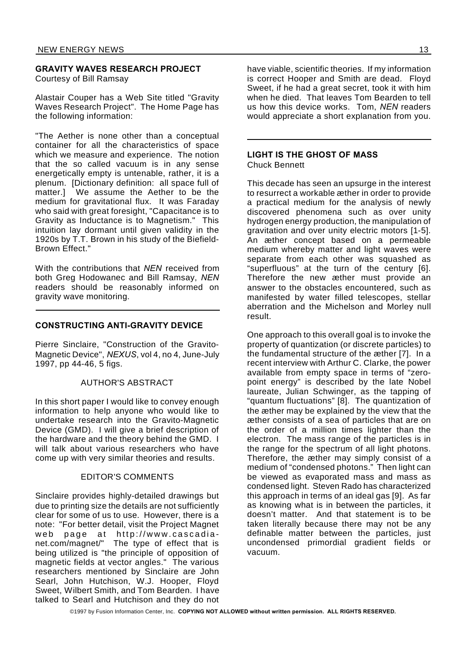#### **GRAVITY WAVES RESEARCH PROJECT**

Courtesy of Bill Ramsay

Alastair Couper has a Web Site titled "Gravity Waves Research Project". The Home Page has the following information:

"The Aether is none other than a conceptual container for all the characteristics of space which we measure and experience. The notion that the so called vacuum is in any sense energetically empty is untenable, rather, it is a plenum. [Dictionary definition: all space full of matter.] We assume the Aether to be the medium for gravitational flux. It was Faraday who said with great foresight, "Capacitance is to Gravity as Inductance is to Magnetism." This intuition lay dormant until given validity in the 1920s by T.T. Brown in his study of the Biefield-Brown Effect."

With the contributions that *NEN* received from both Greg Hodowanec and Bill Ramsay, *NEN* readers should be reasonably informed on gravity wave monitoring.

#### **CONSTRUCTING ANTI-GRAVITY DEVICE**

Pierre Sinclaire, "Construction of the Gravito-Magnetic Device", *NEXUS*, vol 4, no 4, June-July 1997, pp 44-46, 5 figs.

#### AUTHOR'S ABSTRACT

In this short paper I would like to convey enough information to help anyone who would like to undertake research into the Gravito-Magnetic Device (GMD). I will give a brief description of the hardware and the theory behind the GMD. I will talk about various researchers who have come up with very similar theories and results.

#### EDITOR'S COMMENTS

Sinclaire provides highly-detailed drawings but due to printing size the details are not sufficiently clear for some of us to use. However, there is a note: "For better detail, visit the Project Magnet web page at http://www.cascadianet.com/magnet/" The type of effect that is being utilized is "the principle of opposition of magnetic fields at vector angles." The various researchers mentioned by Sinclaire are John Searl, John Hutchison, W.J. Hooper, Floyd Sweet, Wilbert Smith, and Tom Bearden. I have talked to Searl and Hutchison and they do not

have viable, scientific theories. If my information is correct Hooper and Smith are dead. Floyd Sweet, if he had a great secret, took it with him when he died. That leaves Tom Bearden to tell us how this device works. Tom, *NEN* readers would appreciate a short explanation from you.

#### **LIGHT IS THE GHOST OF MASS** Chuck Bennett

This decade has seen an upsurge in the interest to resurrect a workable æther in order to provide a practical medium for the analysis of newly discovered phenomena such as over unity hydrogen energy production, the manipulation of gravitation and over unity electric motors [1-5]. An æther concept based on a permeable medium whereby matter and light waves were separate from each other was squashed as "superfluous" at the turn of the century [6]. Therefore the new æther must provide an answer to the obstacles encountered, such as manifested by water filled telescopes, stellar aberration and the Michelson and Morley null result.

One approach to this overall goal is to invoke the property of quantization (or discrete particles) to the fundamental structure of the æther [7]. In a recent interview with Arthur C. Clarke, the power available from empty space in terms of "zeropoint energy" is described by the late Nobel laureate, Julian Schwinger, as the tapping of "quantum fluctuations" [8]. The quantization of the æther may be explained by the view that the æther consists of a sea of particles that are on the order of a million times lighter than the electron. The mass range of the particles is in the range for the spectrum of all light photons. Therefore, the æther may simply consist of a medium of "condensed photons." Then light can be viewed as evaporated mass and mass as condensed light. Steven Rado has characterized this approach in terms of an ideal gas [9]. As far as knowing what is in between the particles, it doesn't matter. And that statement is to be taken literally because there may not be any definable matter between the particles, just uncondensed primordial gradient fields or vacuum.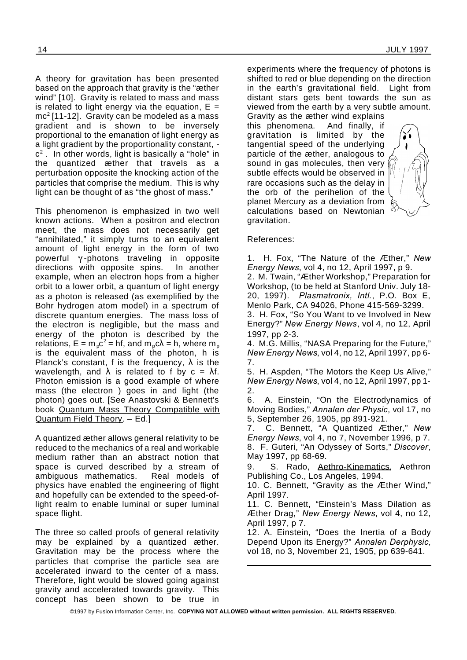A theory for gravitation has been presented based on the approach that gravity is the "æther wind" [10]. Gravity is related to mass and mass is related to light energy via the equation,  $E =$  $mc<sup>2</sup>$  [11-12]. Gravity can be modeled as a mass gradient and is shown to be inversely proportional to the emanation of light energy as a light gradient by the proportionality constant, c 2 . In other words, light is basically a "hole" in the quantized æther that travels as a perturbation opposite the knocking action of the particles that comprise the medium. This is why light can be thought of as "the ghost of mass."

This phenomenon is emphasized in two well known actions. When a positron and electron meet, the mass does not necessarily get "annihilated," it simply turns to an equivalent amount of light energy in the form of two powerful  $\gamma$ -photons traveling in opposite directions with opposite spins. In another example, when an electron hops from a higher orbit to a lower orbit, a quantum of light energy as a photon is released (as exemplified by the Bohr hydrogen atom model) in a spectrum of discrete quantum energies. The mass loss of the electron is negligible, but the mass and energy of the photon is described by the relations,  $E = m_p c^2 = hf$ , and  $m_p c \lambda = h$ , where  $m_p$ is the equivalent mass of the photon, h is Planck's constant, f is the frequency,  $\lambda$  is the wavelength, and  $\lambda$  is related to f by  $c = \lambda f$ . Photon emission is a good example of where mass (the electron ) goes in and light (the photon) goes out. [See Anastovski & Bennett's book Quantum Mass Theory Compatible with Quantum Field Theory. – Ed.]

A quantized æther allows general relativity to be reduced to the mechanics of a real and workable medium rather than an abstract notion that space is curved described by a stream of ambiguous mathematics. Real models of physics have enabled the engineering of flight and hopefully can be extended to the speed-oflight realm to enable luminal or super luminal space flight.

The three so called proofs of general relativity may be explained by a quantized æther. Gravitation may be the process where the particles that comprise the particle sea are accelerated inward to the center of a mass. Therefore, light would be slowed going against gravity and accelerated towards gravity. This concept has been shown to be true in

experiments where the frequency of photons is shifted to red or blue depending on the direction in the earth's gravitational field. Light from distant stars gets bent towards the sun as viewed from the earth by a very subtle amount.

Gravity as the æther wind explains this phenomena. And finally, if gravitation is limited by the tangential speed of the underlying particle of the æther, analogous to sound in gas molecules, then very subtle effects would be observed in rare occasions such as the delay in the orb of the perihelion of the planet Mercury as a deviation from calculations based on Newtonian gravitation.



#### References:

1. H. Fox, "The Nature of the Æther," *New Energy News*, vol 4, no 12, April 1997, p 9.

2. M. Twain, "Æther Workshop," Preparation for Workshop, (to be held at Stanford Univ. July 18- 20, 1997). *Plasmatronix, Intl.*, P.O. Box E, Menlo Park, CA 94026, Phone 415-569-3299.

3. H. Fox, "So You Want to ve Involved in New Energy?" *New Energy News*, vol 4, no 12, April 1997, pp 2-3.

4. M.G. Millis, "NASA Preparing for the Future," *New Energy News*, vol 4, no 12, April 1997, pp 6- 7.

5. H. Aspden, "The Motors the Keep Us Alive," *New Energy News*, vol 4, no 12, April 1997, pp 1- 2.

6. A. Einstein, "On the Electrodynamics of Moving Bodies," *Annalen der Physic*, vol 17, no 5, September 26, 1905, pp 891-921.

7. C. Bennett, "A Quantized Æther," *New Energy News*, vol 4, no 7, November 1996, p 7. 8. F. Guteri, "An Odyssey of Sorts," *Discover*, May 1997, pp 68-69.

9. S. Rado, Aethro-Kinematics, Aethron Publishing Co., Los Angeles, 1994.

10. C. Bennett, "Gravity as the Æther Wind," April 1997.

11. C. Bennett, "Einstein's Mass Dilation as Æther Drag," *New Energy News*, vol 4, no 12, April 1997, p 7.

12. A. Einstein, "Does the Inertia of a Body Depend Upon its Energy?" *Annalen Derphysic*, vol 18, no 3, November 21, 1905, pp 639-641.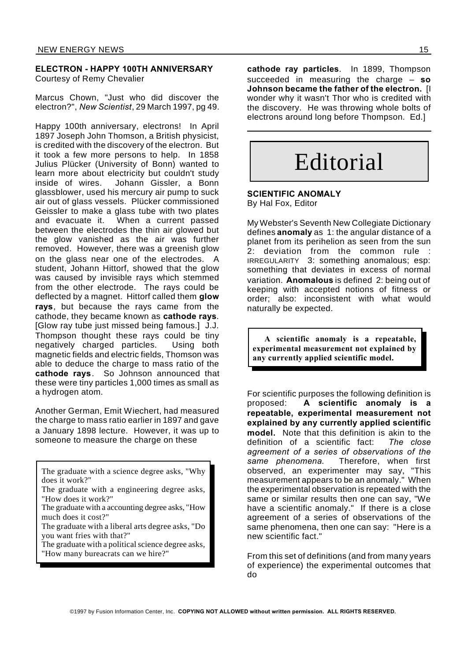#### **ELECTRON - HAPPY 100TH ANNIVERSARY** Courtesy of Remy Chevalier

Marcus Chown, "Just who did discover the electron?", *New Scientist*, 29 March 1997, pg 49.

Happy 100th anniversary, electrons! In April 1897 Joseph John Thomson, a British physicist, is credited with the discovery of the electron. But it took a few more persons to help. In 1858 Julius Plücker (University of Bonn) wanted to learn more about electricity but couldn't study inside of wires. Johann Gissler, a Bonn glassblower, used his mercury air pump to suck air out of glass vessels. Plücker commissioned Geissler to make a glass tube with two plates and evacuate it. When a current passed between the electrodes the thin air glowed but the glow vanished as the air was further removed. However, there was a greenish glow on the glass near one of the electrodes. A student, Johann Hittorf, showed that the glow was caused by invisible rays which stemmed from the other electrode. The rays could be deflected by a magnet. Hittorf called them **glow rays**, but because the rays came from the cathode, they became known as **cathode rays**. [Glow ray tube just missed being famous.] J.J. Thompson thought these rays could be tiny negatively charged particles. Using both magnetic fields and electric fields, Thomson was able to deduce the charge to mass ratio of the **cathode rays**. So Johnson announced that these were tiny particles 1,000 times as small as a hydrogen atom.

Another German, Emit Wiechert, had measured the charge to mass ratio earlier in 1897 and gave a January 1898 lecture. However, it was up to someone to measure the charge on these

The graduate with a science degree asks, "Why does it work?"

The graduate with a accounting degree asks, "How much does it cost?"

The graduate with a liberal arts degree asks, "Do you want fries with that?"

The graduate with a political science degree asks, "How many bureacrats can we hire?"

**cathode ray particles**. In 1899, Thompson succeeded in measuring the charge – **so Johnson became the father of the electron.** [I wonder why it wasn't Thor who is credited with the discovery. He was throwing whole bolts of electrons around long before Thompson. Ed.]

# Editorial

**SCIENTIFIC ANOMALY** By Hal Fox, Editor

My Webster's Seventh New Collegiate Dictionary defines **anomaly** as 1: the angular distance of a planet from its perihelion as seen from the sun 2: deviation from the common rule : IRREGULARITY 3: something anomalous; esp: something that deviates in excess of normal variation. **Anomalous** is defined 2: being out of keeping with accepted notions of fitness or order; also: inconsistent with what would naturally be expected.

**A scientific anomaly is a repeatable, experimental measurement not explained by any currently applied scientific model.**

For scientific purposes the following definition is proposed: **A scientific anomaly is a repeatable, experimental measurement not explained by any currently applied scientific model.** Note that this definition is akin to the definition of a scientific fact: *The close agreement of a series of observations of the same phenomena.* Therefore, when first observed, an experimenter may say, "This measurement appears to be an anomaly." When the experimental observation is repeated with the same or similar results then one can say, "We have a scientific anomaly." If there is a close agreement of a series of observations of the same phenomena, then one can say: "Here is a new scientific fact."

From this set of definitions (and from many years of experience) the experimental outcomes that do

The graduate with a engineering degree asks, "How does it work?"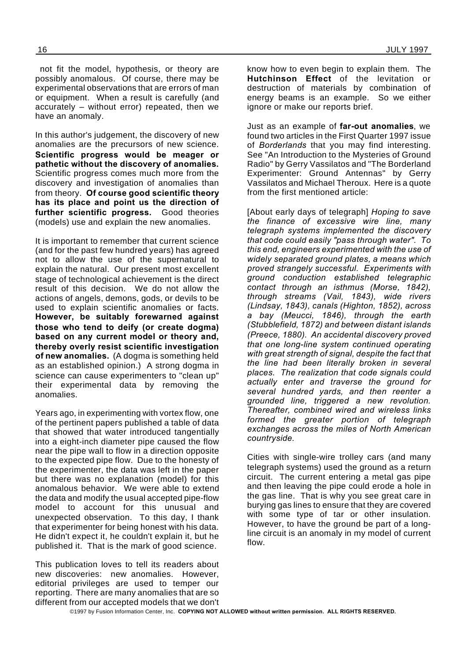not fit the model, hypothesis, or theory are possibly anomalous. Of course, there may be experimental observations that are errors of man or equipment. When a result is carefully (and accurately – without error) repeated, then we have an anomaly.

In this author's judgement, the discovery of new anomalies are the precursors of new science. **Scientific progress would be meager or pathetic without the discovery of anomalies.** Scientific progress comes much more from the discovery and investigation of anomalies than from theory. **Of course good scientific theory has its place and point us the direction of further scientific progress.** Good theories (models) use and explain the new anomalies.

It is important to remember that current science (and for the past few hundred years) has agreed not to allow the use of the supernatural to explain the natural. Our present most excellent stage of technological achievement is the direct result of this decision. We do not allow the actions of angels, demons, gods, or devils to be used to explain scientific anomalies or facts. **However, be suitably forewarned against those who tend to deify (or create dogma) based on any current model or theory and, thereby overly resist scientific investigation of new anomalies.** (A dogma is something held as an established opinion.) A strong dogma in science can cause experimenters to "clean up" their experimental data by removing the anomalies.

Years ago, in experimenting with vortex flow, one of the pertinent papers published a table of data that showed that water introduced tangentially into a eight-inch diameter pipe caused the flow near the pipe wall to flow in a direction opposite to the expected pipe flow. Due to the honesty of the experimenter, the data was left in the paper but there was no explanation (model) for this anomalous behavior. We were able to extend the data and modify the usual accepted pipe-flow model to account for this unusual and unexpected observation. To this day, I thank that experimenter for being honest with his data. He didn't expect it, he couldn't explain it, but he published it. That is the mark of good science.

This publication loves to tell its readers about new discoveries: new anomalies. However, editorial privileges are used to temper our reporting. There are many anomalies that are so different from our accepted models that we don't know how to even begin to explain them. The **Hutchinson Effect** of the levitation or destruction of materials by combination of energy beams is an example. So we either ignore or make our reports brief.

Just as an example of **far-out anomalies**, we found two articles in the First Quarter 1997 issue of *Borderlands* that you may find interesting. See "An Introduction to the Mysteries of Ground Radio" by Gerry Vassilatos and "The Borderland Experimenter: Ground Antennas" by Gerry Vassilatos and Michael Theroux. Here is a quote from the first mentioned article:

[About early days of telegraph] *Hoping to save the finance of excessive wire line, many telegraph systems implemented the discovery that code could easily "pass through water". To this end, engineers experimented with the use of widely separated ground plates, a means which proved strangely successful. Experiments with ground conduction established telegraphic contact through an isthmus (Morse, 1842), through streams (Vail, 1843), wide rivers (Lindsay, 1843), canals (Highton, 1852), across a bay (Meucci, 1846), through the earth (Stubblefield, 1872) and between distant islands (Preece, 1880). An accidental discovery proved that one long-line system continued operating with great strength of signal, despite the fact that the line had been literally broken in several places. The realization that code signals could actually enter and traverse the ground for several hundred yards, and then reenter a grounded line, triggered a new revolution. Thereafter, combined wired and wireless links formed the greater portion of telegraph exchanges across the miles of North American countryside.*

Cities with single-wire trolley cars (and many telegraph systems) used the ground as a return circuit. The current entering a metal gas pipe and then leaving the pipe could erode a hole in the gas line. That is why you see great care in burying gas lines to ensure that they are covered with some type of tar or other insulation. However, to have the ground be part of a longline circuit is an anomaly in my model of current flow.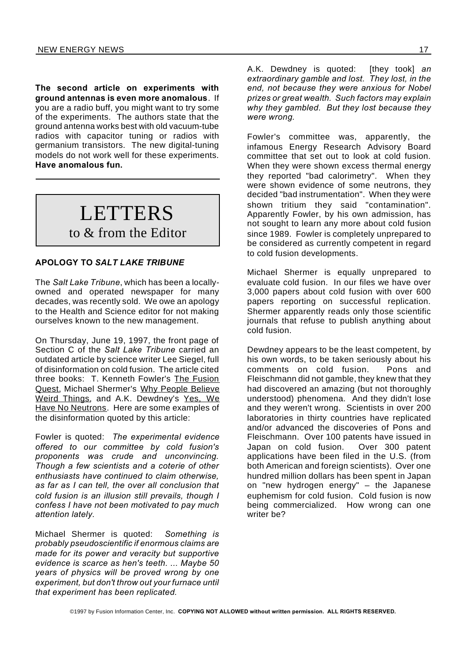**The second article on experiments with ground antennas is even more anomalous**. If you are a radio buff, you might want to try some of the experiments. The authors state that the ground antenna works best with old vacuum-tube radios with capacitor tuning or radios with germanium transistors. The new digital-tuning models do not work well for these experiments. **Have anomalous fun.**

## LETTERS

to & from the Editor

#### **APOLOGY TO** *SALT LAKE TRIBUNE*

The *Salt Lake Tribune*, which has been a locallyowned and operated newspaper for many decades, was recently sold. We owe an apology to the Health and Science editor for not making ourselves known to the new management.

On Thursday, June 19, 1997, the front page of Section C of the *Salt Lake Tribune* carried an outdated article by science writer Lee Siegel, full of disinformation on cold fusion. The article cited three books: T. Kenneth Fowler's The Fusion Quest, Michael Shermer's Why People Believe Weird Things, and A.K. Dewdney's Yes, We Have No Neutrons. Here are some examples of the disinformation quoted by this article:

Fowler is quoted: *The experimental evidence offered to our committee by cold fusion's proponents was crude and unconvincing. Though a few scientists and a coterie of other enthusiasts have continued to claim otherwise, as far as I can tell, the over all conclusion that cold fusion is an illusion still prevails, though I confess I have not been motivated to pay much attention lately.*

Michael Shermer is quoted: *Something is probably pseudoscientific if enormous claims are made for its power and veracity but supportive evidence is scarce as hen's teeth. ... Maybe 50 years of physics will be proved wrong by one experiment, but don't throw out your furnace until that experiment has been replicated.*

A.K. Dewdney is quoted: [they took] *an extraordinary gamble and lost. They lost, in the end, not because they were anxious for Nobel prizes or great wealth. Such factors may explain why they gambled. But they lost because they were wrong.*

Fowler's committee was, apparently, the infamous Energy Research Advisory Board committee that set out to look at cold fusion. When they were shown excess thermal energy they reported "bad calorimetry". When they were shown evidence of some neutrons, they decided "bad instrumentation". When they were shown tritium they said "contamination". Apparently Fowler, by his own admission, has not sought to learn any more about cold fusion since 1989. Fowler is completely unprepared to be considered as currently competent in regard to cold fusion developments.

Michael Shermer is equally unprepared to evaluate cold fusion. In our files we have over 3,000 papers about cold fusion with over 600 papers reporting on successful replication. Shermer apparently reads only those scientific journals that refuse to publish anything about cold fusion.

Dewdney appears to be the least competent, by his own words, to be taken seriously about his comments on cold fusion. Pons and Fleischmann did not gamble, they knew that they had discovered an amazing (but not thoroughly understood) phenomena. And they didn't lose and they weren't wrong. Scientists in over 200 laboratories in thirty countries have replicated and/or advanced the discoveries of Pons and Fleischmann. Over 100 patents have issued in Japan on cold fusion. Over 300 patent applications have been filed in the U.S. (from both American and foreign scientists). Over one hundred million dollars has been spent in Japan on "new hydrogen energy" – the Japanese euphemism for cold fusion. Cold fusion is now being commercialized. How wrong can one writer be?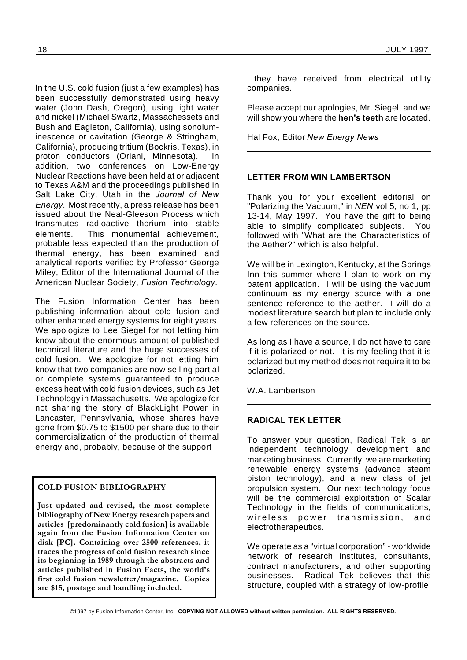In the U.S. cold fusion (just a few examples) has been successfully demonstrated using heavy water (John Dash, Oregon), using light water and nickel (Michael Swartz, Massachessets and Bush and Eagleton, California), using sonoluminescence or cavitation (George & Stringham, California), producing tritium (Bockris, Texas), in proton conductors (Oriani, Minnesota). In addition, two conferences on Low-Energy Nuclear Reactions have been held at or adjacent to Texas A&M and the proceedings published in Salt Lake City, Utah in the *Journal of New Energy*. Most recently, a press release has been issued about the Neal-Gleeson Process which transmutes radioactive thorium into stable elements. This monumental achievement, probable less expected than the production of thermal energy, has been examined and analytical reports verified by Professor George Miley, Editor of the International Journal of the American Nuclear Society, *Fusion Technology*.

The Fusion Information Center has been publishing information about cold fusion and other enhanced energy systems for eight years. We apologize to Lee Siegel for not letting him know about the enormous amount of published technical literature and the huge successes of cold fusion. We apologize for not letting him know that two companies are now selling partial or complete systems guaranteed to produce excess heat with cold fusion devices, such as Jet Technology in Massachusetts. We apologize for not sharing the story of BlackLight Power in Lancaster, Pennsylvania, whose shares have gone from \$0.75 to \$1500 per share due to their commercialization of the production of thermal energy and, probably, because of the support

#### **COLD FUSION BIBLIOGRAPHY**

**Just updated and revised, the most complete bibliography of New Energy research papers and articles [predominantly cold fusion] is available again from the Fusion Information Center on disk [PC]. Containing over 2500 references, it traces the progress of cold fusion research since its beginning in 1989 through the abstracts and articles published in Fusion Facts, the world's first cold fusion newsletter/magazine. Copies are \$15, postage and handling included.**

they have received from electrical utility companies.

Please accept our apologies, Mr. Siegel, and we will show you where the **hen's teeth** are located.

Hal Fox, Editor *New Energy News*

#### **LETTER FROM WIN LAMBERTSON**

Thank you for your excellent editorial on "Polarizing the Vacuum," in *NEN* vol 5, no 1, pp 13-14, May 1997. You have the gift to being able to simplify complicated subjects. You followed with "What are the Characteristics of the Aether?" which is also helpful.

We will be in Lexington, Kentucky, at the Springs Inn this summer where I plan to work on my patent application. I will be using the vacuum continuum as my energy source with a one sentence reference to the aether. I will do a modest literature search but plan to include only a few references on the source.

As long as I have a source, I do not have to care if it is polarized or not. It is my feeling that it is polarized but my method does not require it to be polarized.

W.A. Lambertson

#### **RADICAL TEK LETTER**

To answer your question, Radical Tek is an independent technology development and marketing business. Currently, we are marketing renewable energy systems (advance steam piston technology), and a new class of jet propulsion system. Our next technology focus will be the commercial exploitation of Scalar Technology in the fields of communications, wireless power transmission, and electrotherapeutics.

We operate as a "virtual corporation" - worldwide network of research institutes, consultants, contract manufacturers, and other supporting businesses. Radical Tek believes that this structure, coupled with a strategy of low-profile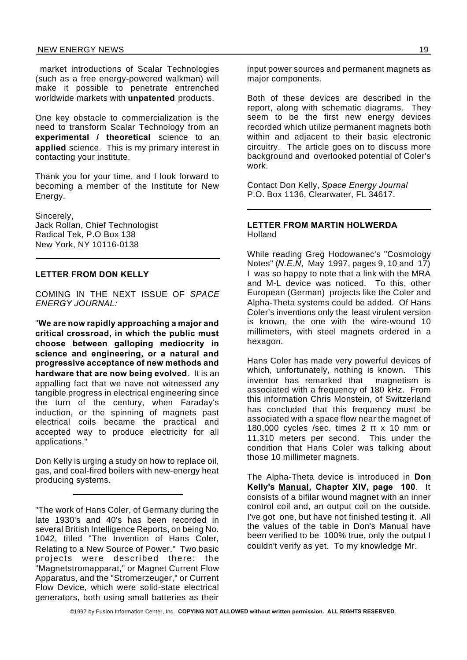market introductions of Scalar Technologies (such as a free energy-powered walkman) will make it possible to penetrate entrenched worldwide markets with **unpatented** products.

One key obstacle to commercialization is the need to transform Scalar Technology from an **experimental / theoretical** science to an **applied** science. This is my primary interest in contacting your institute.

Thank you for your time, and I look forward to becoming a member of the Institute for New Energy.

Sincerely, Jack Rollan, Chief Technologist Radical Tek, P.O Box 138 New York, NY 10116-0138

#### **LETTER FROM DON KELLY**

COMING IN THE NEXT ISSUE OF *SPACE ENERGY JOURNAL:*

"**We are now rapidly approaching a major and critical crossroad, in which the public must choose between galloping mediocrity in science and engineering, or a natural and progressive acceptance of new methods and hardware that are now being evolved**. It is an appalling fact that we nave not witnessed any tangible progress in electrical engineering since the turn of the century, when Faraday's induction, or the spinning of magnets past electrical coils became the practical and accepted way to produce electricity for all applications."

Don Kelly is urging a study on how to replace oil, gas, and coal-fired boilers with new-energy heat producing systems.

"The work of Hans Coler, of Germany during the late 1930's and 40's has been recorded in several British Intelligence Reports, on being No. 1042, titled "The Invention of Hans Coler, Relating to a New Source of Power." Two basic projects were described there: the "Magnetstromapparat," or Magnet Current Flow Apparatus, and the "Stromerzeuger," or Current Flow Device, which were solid-state electrical generators, both using small batteries as their

input power sources and permanent magnets as major components.

Both of these devices are described in the report, along with schematic diagrams. They seem to be the first new energy devices recorded which utilize permanent magnets both within and adjacent to their basic electronic circuitry. The article goes on to discuss more background and overlooked potential of Coler's work.

Contact Don Kelly, *Space Energy Journal* P.O. Box 1136, Clearwater, FL 34617.

#### **LETTER FROM MARTIN HOLWERDA** Holland

While reading Greg Hodowanec's "Cosmology Notes" (*N.E.N*, May 1997, pages 9, 10 and 17) I was so happy to note that a link with the MRA and M-L device was noticed. To this, other European (German) projects like the Coler and Alpha-Theta systems could be added. Of Hans Coler's inventions only the least virulent version is known, the one with the wire-wound 10 millimeters, with steel magnets ordered in a hexagon.

Hans Coler has made very powerful devices of which, unfortunately, nothing is known. This inventor has remarked that magnetism is associated with a frequency of 180 kHz. From this information Chris Monstein, of Switzerland has concluded that this frequency must be associated with a space flow near the magnet of 180,000 cycles /sec. times  $2 \pi \times 10$  mm or 11,310 meters per second. This under the condition that Hans Coler was talking about those 10 millimeter magnets.

The Alpha-Theta device is introduced in **Don Kelly's Manual, Chapter XIV, page 100**. It consists of a bifilar wound magnet with an inner control coil and, an output coil on the outside. I've got one, but have not finished testing it. All the values of the table in Don's Manual have been verified to be 100% true, only the output I couldn't verify as yet. To my knowledge Mr.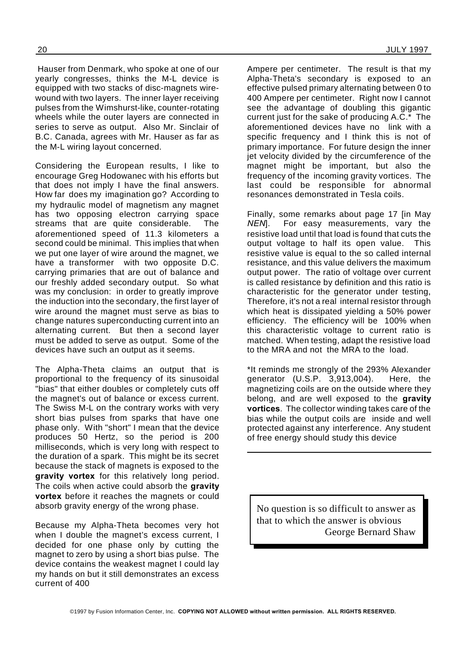Hauser from Denmark, who spoke at one of our yearly congresses, thinks the M-L device is equipped with two stacks of disc-magnets wirewound with two layers. The inner layer receiving pulses from the Wimshurst-like, counter-rotating wheels while the outer layers are connected in series to serve as output. Also Mr. Sinclair of B.C. Canada, agrees with Mr. Hauser as far as the M-L wiring layout concerned.

Considering the European results, I like to encourage Greg Hodowanec with his efforts but that does not imply I have the final answers. How far does my imagination go? According to my hydraulic model of magnetism any magnet has two opposing electron carrying space streams that are quite considerable. The aforementioned speed of 11.3 kilometers a second could be minimal. This implies that when we put one layer of wire around the magnet, we have a transformer with two opposite D.C. carrying primaries that are out of balance and our freshly added secondary output. So what was my conclusion: in order to greatly improve the induction into the secondary, the first layer of wire around the magnet must serve as bias to change natures superconducting current into an alternating current. But then a second layer must be added to serve as output. Some of the devices have such an output as it seems.

The Alpha-Theta claims an output that is proportional to the frequency of its sinusoidal "bias" that either doubles or completely cuts off the magnet's out of balance or excess current. The Swiss M-L on the contrary works with very short bias pulses from sparks that have one phase only. With "short" I mean that the device produces 50 Hertz, so the period is 200 milliseconds, which is very long with respect to the duration of a spark. This might be its secret because the stack of magnets is exposed to the **gravity vortex** for this relatively long period. The coils when active could absorb the **gravity vortex** before it reaches the magnets or could absorb gravity energy of the wrong phase.

Because my Alpha-Theta becomes very hot when I double the magnet's excess current, I decided for one phase only by cutting the magnet to zero by using a short bias pulse. The device contains the weakest magnet I could lay my hands on but it still demonstrates an excess current of 400

Ampere per centimeter. The result is that my Alpha-Theta's secondary is exposed to an effective pulsed primary alternating between 0 to 400 Ampere per centimeter. Right now I cannot see the advantage of doubling this gigantic current just for the sake of producing A.C.\* The aforementioned devices have no link with a specific frequency and I think this is not of primary importance. For future design the inner jet velocity divided by the circumference of the magnet might be important, but also the frequency of the incoming gravity vortices. The last could be responsible for abnormal resonances demonstrated in Tesla coils.

Finally, some remarks about page 17 [in May *NEN*]. For easy measurements, vary the resistive load until that load is found that cuts the output voltage to half its open value. This resistive value is equal to the so called internal resistance, and this value delivers the maximum output power. The ratio of voltage over current is called resistance by definition and this ratio is characteristic for the generator under testing, Therefore, it's not a real internal resistor through which heat is dissipated yielding a 50% power efficiency. The efficiency will be 100% when this characteristic voltage to current ratio is matched. When testing, adapt the resistive load to the MRA and not the MRA to the load.

\*It reminds me strongly of the 293% Alexander generator (U.S.P. 3,913,004). Here, the magnetizing coils are on the outside where they belong, and are well exposed to the **gravity vortices**. The collector winding takes care of the bias while the output coils are inside and well protected against any interference. Any student of free energy should study this device

No question is so difficult to answer as that to which the answer is obvious George Bernard Shaw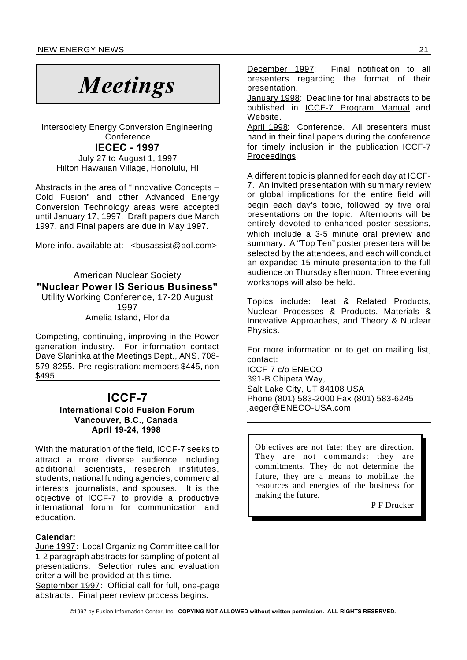# *Meetings*

Intersociety Energy Conversion Engineering **Conference** 

**IECEC - 1997**

July 27 to August 1, 1997 Hilton Hawaiian Village, Honolulu, HI

Abstracts in the area of "Innovative Concepts – Cold Fusion" and other Advanced Energy Conversion Technology areas were accepted until January 17, 1997. Draft papers due March 1997, and Final papers are due in May 1997.

More info. available at: <br />
com>

American Nuclear Society **"Nuclear Power IS Serious Business"** Utility Working Conference, 17-20 August 1997

Amelia Island, Florida

Competing, continuing, improving in the Power generation industry. For information contact Dave Slaninka at the Meetings Dept., ANS, 708- 579-8255. Pre-registration: members \$445, non \$495.

### **ICCF-7**

#### **International Cold Fusion Forum Vancouver, B.C., Canada April 19-24, 1998**

With the maturation of the field, ICCF-7 seeks to attract a more diverse audience including additional scientists, research institutes, students, national funding agencies, commercial interests, journalists, and spouses. It is the objective of ICCF-7 to provide a productive international forum for communication and education.

#### **Calendar:**

June 1997: Local Organizing Committee call for 1-2 paragraph abstracts for sampling of potential presentations. Selection rules and evaluation criteria will be provided at this time.

September 1997: Official call for full, one-page abstracts. Final peer review process begins.

December 1997: Final notification to all presenters regarding the format of their presentation.

January 1998: Deadline for final abstracts to be published in ICCF-7 Program Manual and Website.

April 1998: Conference. All presenters must hand in their final papers during the conference for timely inclusion in the publication ICCF-7 Proceedings.

A different topic is planned for each day at ICCF-7. An invited presentation with summary review or global implications for the entire field will begin each day's topic, followed by five oral presentations on the topic. Afternoons will be entirely devoted to enhanced poster sessions, which include a 3-5 minute oral preview and summary. A "Top Ten" poster presenters will be selected by the attendees, and each will conduct an expanded 15 minute presentation to the full audience on Thursday afternoon. Three evening workshops will also be held.

Topics include: Heat & Related Products, Nuclear Processes & Products, Materials & Innovative Approaches, and Theory & Nuclear Physics.

For more information or to get on mailing list, contact:

ICCF-7 c/o ENECO 391-B Chipeta Way, Salt Lake City, UT 84108 USA Phone (801) 583-2000 Fax (801) 583-6245 jaeger@ENECO-USA.com

Objectives are not fate; they are direction. They are not commands; they are commitments. They do not determine the future, they are a means to mobilize the resources and energies of the business for making the future.

– P F Drucker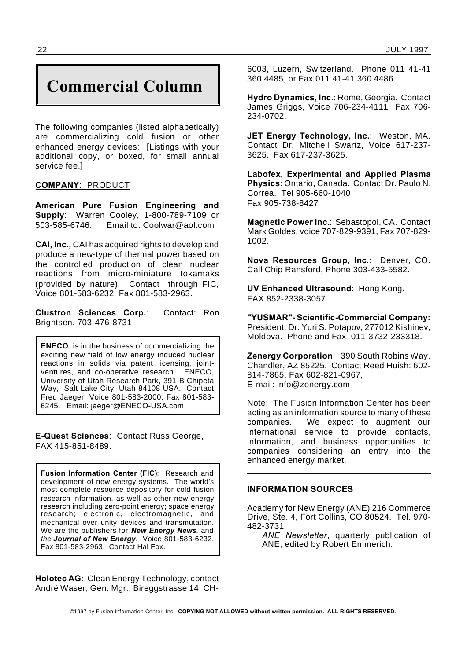## **Commercial Column**

The following companies (listed alphabetically) are commercializing cold fusion or other enhanced energy devices: [Listings with your additional copy, or boxed, for small annual service fee.]

#### **COMPANY**: PRODUCT

**American Pure Fusion Engineering and Supply**: Warren Cooley, 1-800-789-7109 or 503-585-6746. Email to: Coolwar@aol.com

**CAI, Inc.,** CAI has acquired rights to develop and produce a new-type of thermal power based on the controlled production of clean nuclear reactions from micro-miniature tokamaks (provided by nature). Contact through FIC, Voice 801-583-6232, Fax 801-583-2963.

**Clustron Sciences Corp.**: Contact: Ron Brightsen, 703-476-8731.

**ENECO**: is in the business of commercializing the exciting new field of low energy induced nuclear reactions in solids via patent licensing, jointventures, and co-operative research. ENECO, University of Utah Research Park, 391-B Chipeta Way, Salt Lake City, Utah 84108 USA. Contact Fred Jaeger, Voice 801-583-2000, Fax 801-583- 6245. Email: jaeger@ENECO-USA.com

**E-Quest Sciences**: Contact Russ George, FAX 415-851-8489.

**Fusion Information Center (FIC)**: Research and development of new energy systems. The world's most complete resource depository for cold fusion research information, as well as other new energy research including zero-point energy; space energy research; electronic, electromagnetic, and mechanical over unity devices and transmutation. We are the publishers for *New Energy News*, and *the Journal of New Energy.* Voice 801-583-6232, Fax 801-583-2963. Contact Hal Fox.

**Holotec AG**: Clean Energy Technology, contact André Waser, Gen. Mgr., Bireggstrasse 14, CH-

6003, Luzern, Switzerland. Phone 011 41-41 360 4485, or Fax 011 41-41 360 4486.

**Hydro Dynamics, Inc**.: Rome, Georgia. Contact James Griggs, Voice 706-234-4111 Fax 706- 234-0702.

**JET Energy Technology, Inc.**: Weston, MA. Contact Dr. Mitchell Swartz, Voice 617-237- 3625. Fax 617-237-3625.

**Labofex, Experimental and Applied Plasma Physics**: Ontario, Canada. Contact Dr. Paulo N. Correa. Tel 905-660-1040 Fax 905-738-8427

**Magnetic Power Inc.**: Sebastopol, CA. Contact Mark Goldes, voice 707-829-9391, Fax 707-829- 1002.

**Nova Resources Group, Inc**.: Denver, CO. Call Chip Ransford, Phone 303-433-5582.

**UV Enhanced Ultrasound**: Hong Kong. FAX 852-2338-3057.

**"YUSMAR"- Scientific-Commercial Company:** President: Dr. Yuri S. Potapov, 277012 Kishinev, Moldova. Phone and Fax 011-3732-233318.

**Zenergy Corporation**: 390 South Robins Way, Chandler, AZ 85225. Contact Reed Huish: 602- 814-7865, Fax 602-821-0967, E-mail: info@zenergy.com

Note: The Fusion Information Center has been acting as an information source to many of these companies. We expect to augment our international service to provide contacts, information, and business opportunities to companies considering an entry into the enhanced energy market.

#### **INFORMATION SOURCES**

Academy for New Energy (ANE) 216 Commerce Drive, Ste. 4, Fort Collins, CO 80524. Tel. 970- 482-3731

*ANE Newsletter*, quarterly publication of ANE, edited by Robert Emmerich.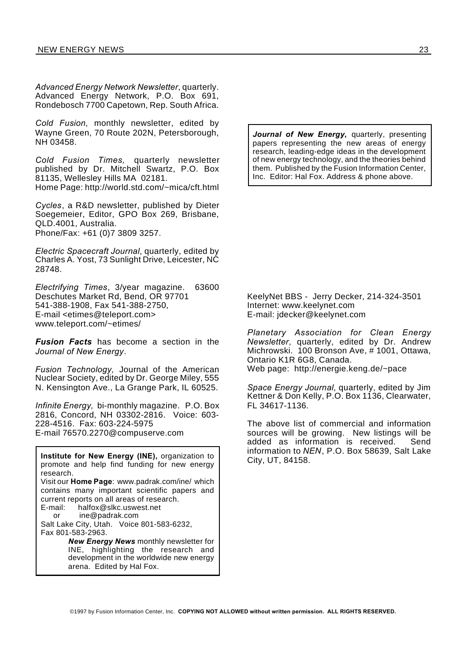*Advanced Energy Network Newsletter*, quarterly. Advanced Energy Network, P.O. Box 691, Rondebosch 7700 Capetown, Rep. South Africa.

*Cold Fusion*, monthly newsletter, edited by Wayne Green, 70 Route 202N, Petersborough, NH 03458.

*Cold Fusion Times,* quarterly newsletter published by Dr. Mitchell Swartz, P.O. Box 81135, Wellesley Hills MA 02181. Home Page: http://world.std.com/~mica/cft.html

*Cycles*, a R&D newsletter, published by Dieter Soegemeier, Editor, GPO Box 269, Brisbane, QLD.4001, Australia. Phone/Fax: +61 (0)7 3809 3257.

*Electric Spacecraft Journal*, quarterly, edited by Charles A. Yost, 73 Sunlight Drive, Leicester, NC 28748.

*Electrifying Times*, 3/year magazine. 63600 Deschutes Market Rd, Bend, OR 97701 541-388-1908, Fax 541-388-2750, E-mail <etimes@teleport.com> www.teleport.com/~etimes/

*Fusion Facts* has become a section in the *Journal of New Energy*.

*Fusion Technology,* Journal of the American Nuclear Society, edited by Dr. George Miley, 555 N. Kensington Ave., La Grange Park, IL 60525.

*Infinite Energy,* bi-monthly magazine. P.O. Box 2816, Concord, NH 03302-2816. Voice: 603- 228-4516. Fax: 603-224-5975 E-mail 76570.2270@compuserve.com

**Institute for New Energy (INE),** organization to promote and help find funding for new energy research. Visit our **Home Page**: www.padrak.com/ine/ which contains many important scientific papers and current reports on all areas of research. E-mail: halfox@slkc.uswest.net or ine@padrak.com

Salt Lake City, Utah. Voice 801-583-6232, Fax 801-583-2963.

> *New Energy News* monthly newsletter for INE, highlighting the research and development in the worldwide new energy arena. Edited by Hal Fox.

*Journal of New Energy***,** quarterly, presenting papers representing the new areas of energy research, leading-edge ideas in the development of new energy technology, and the theories behind them. Published by the Fusion Information Center, Inc. Editor: Hal Fox. Address & phone above.

KeelyNet BBS - Jerry Decker, 214-324-3501 Internet: www.keelynet.com E-mail: jdecker@keelynet.com

*Planetary Association for Clean Energy Newsletter*, quarterly, edited by Dr. Andrew Michrowski. 100 Bronson Ave, # 1001, Ottawa, Ontario K1R 6G8, Canada. Web page: http://energie.keng.de/~pace

*Space Energy Journal*, quarterly, edited by Jim Kettner & Don Kelly, P.O. Box 1136, Clearwater, FL 34617-1136.

The above list of commercial and information sources will be growing. New listings will be added as information is received. Send information to *NEN*, P.O. Box 58639, Salt Lake City, UT, 84158.